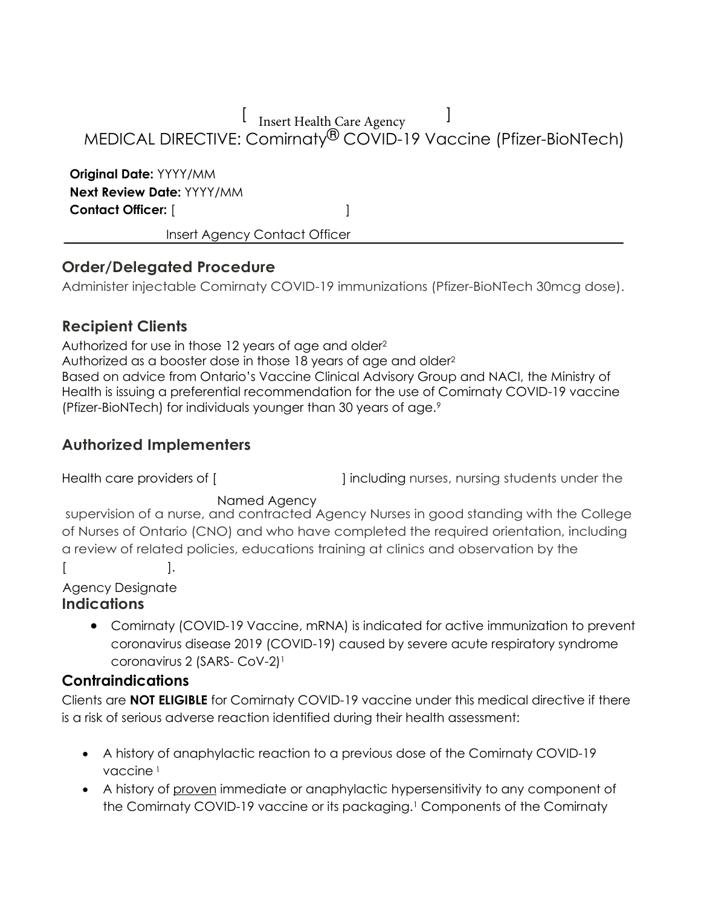[ Insert Health Care Agency ]

# MEDICAL DIRECTIVE: Comirnaty® COVID-19 Vaccine (Pfizer-BioNTech)

**Original Date:** YYYY/MM **Next Review Date:** YYYY/MM **Contact Officer:** [ ]

Insert Agency Contact Officer

### **Order/Delegated Procedure**

Administer injectable Comirnaty COVID-19 immunizations (Pfizer-BioNTech 30mcg dose).

### **Recipient Clients**

Authorized for use in those 12 years of age and older2 Authorized as a booster dose in those 18 years of age and older2 Based on advice from Ontario's Vaccine Clinical Advisory Group and NACI, the Ministry of Health is issuing a preferential recommendation for the use of Comirnaty COVID-19 vaccine (Pfizer-BioNTech) for individuals younger than 30 years of age.9

### **Authorized Implementers**

Health care providers of [  $\qquad$  ] including nurses, nursing students under the

#### Named Agency

supervision of a nurse, and contracted Agency Nurses in good standing with the College of Nurses of Ontario (CNO) and who have completed the required orientation, including a review of related policies, educations training at clinics and observation by the  $[$   $]$ .

Agency Designate

#### **Indications**

• Comirnaty (COVID-19 Vaccine, mRNA) is indicated for active immunization to prevent coronavirus disease 2019 (COVID-19) caused by severe acute respiratory syndrome coronavirus 2 (SARS- CoV-2)<sup>1</sup>

#### **Contraindications**

Clients are **NOT ELIGIBLE** for Comirnaty COVID-19 vaccine under this medical directive if there is a risk of serious adverse reaction identified during their health assessment:

- A history of anaphylactic reaction to a previous dose of the Comirnaty COVID-19 vaccine 1
- A history of proven immediate or anaphylactic hypersensitivity to any component of the Comirnaty COVID-19 vaccine or its packaging.<sup>1</sup> Components of the Comirnaty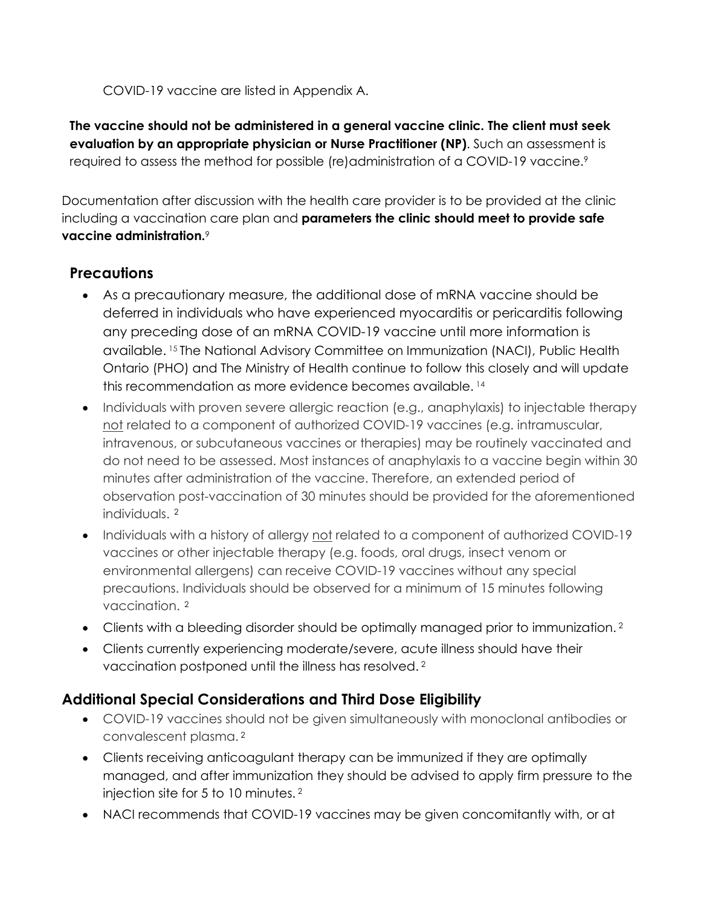COVID-19 vaccine are listed in Appendix A.

**The vaccine should not be administered in a general vaccine clinic. The client must seek evaluation by an appropriate physician or Nurse Practitioner (NP)**. Such an assessment is required to assess the method for possible (re)administration of a COVID-19 vaccine.<sup>9</sup>

Documentation after discussion with the health care provider is to be provided at the clinic including a vaccination care plan and **parameters the clinic should meet to provide safe vaccine administration.**<sup>9</sup>

### **Precautions**

- As a precautionary measure, the additional dose of mRNA vaccine should be deferred in individuals who have experienced myocarditis or pericarditis following any preceding dose of an mRNA COVID-19 vaccine until more information is available. 15 The National Advisory Committee on Immunization (NACI), Public Health Ontario (PHO) and The Ministry of Health continue to follow this closely and will update this recommendation as more evidence becomes available. <sup>14</sup>
- Individuals with proven severe allergic reaction (e.g., anaphylaxis) to injectable therapy not related to a component of authorized COVID-19 vaccines (e.g. intramuscular, intravenous, or subcutaneous vaccines or therapies) may be routinely vaccinated and do not need to be assessed. Most instances of anaphylaxis to a vaccine begin within 30 minutes after administration of the vaccine. Therefore, an extended period of observation post-vaccination of 30 minutes should be provided for the aforementioned individuals. 2
- Individuals with a history of allergy not related to a component of authorized COVID-19 vaccines or other injectable therapy (e.g. foods, oral drugs, insect venom or environmental allergens) can receive COVID-19 vaccines without any special precautions. Individuals should be observed for a minimum of 15 minutes following vaccination. 2
- Clients with a bleeding disorder should be optimally managed prior to immunization.<sup>2</sup>
- Clients currently experiencing moderate/severe, acute illness should have their vaccination postponed until the illness has resolved. 2

### **Additional Special Considerations and Third Dose Eligibility**

- COVID-19 vaccines should not be given simultaneously with monoclonal antibodies or convalescent plasma. 2
- Clients receiving anticoagulant therapy can be immunized if they are optimally managed, and after immunization they should be advised to apply firm pressure to the injection site for 5 to 10 minutes. 2
- NACI recommends that COVID-19 vaccines may be given concomitantly with, or at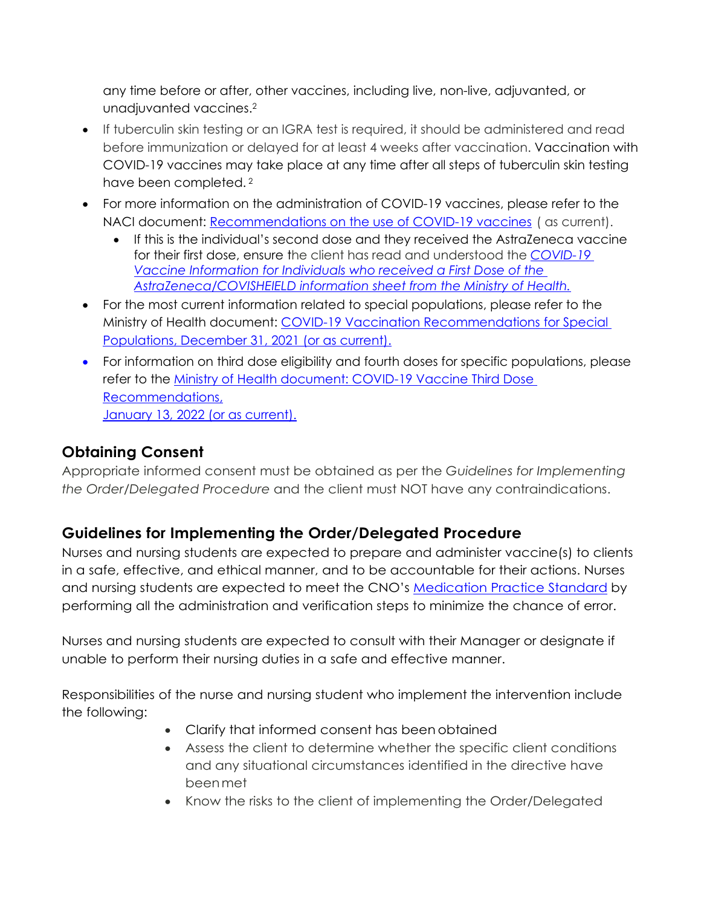any time before or after, other vaccines, including live, non-live, adjuvanted, or unadjuvanted vaccines.2

- If tuberculin skin testing or an IGRA test is required, it should be administered and read before immunization or delayed for at least 4 weeks after vaccination. Vaccination with COVID-19 vaccines may take place at any time after all steps of tuberculin skin testing have been completed.<sup>2</sup>
- For more information on the administration of COVID-19 vaccines, please refer to the NACI document: [Recommendations on the use of COVID-19 vaccines](https://www.canada.ca/en/public-health/services/publications/healthy-living/canadian-immunization-guide-part-4-active-vaccines/page-26-covid-19-vaccine.html#a5.2) ( as current).
	- If this is the individual's second dose and they received the AstraZeneca vaccine for their first dose, ensure the client has read and understood the *[COVID-19](https://www.health.gov.on.ca/en/pro/programs/publichealth/coronavirus/docs/vaccine/COVID-19_vaccine_info_AZ_2nd_dose.pdf) [Vaccine Information for Individuals who received a First Dose of the](https://www.health.gov.on.ca/en/pro/programs/publichealth/coronavirus/docs/vaccine/COVID-19_vaccine_info_AZ_2nd_dose.pdf) [AstraZeneca/COVISHEIELD information sheet from the Ministry of Health.](https://www.health.gov.on.ca/en/pro/programs/publichealth/coronavirus/docs/vaccine/COVID-19_vaccine_info_AZ_2nd_dose.pdf)*
- For the most current information related to special populations, please refer to the Ministry of Health document: [COVID-19 Vaccination Recommendations for Special](https://www.health.gov.on.ca/en/pro/programs/publichealth/coronavirus/docs/vaccine/COVID-19_vaccination_rec_special_populations.pdf) [Populations, December 31, 2021 \(or as current\).](https://www.health.gov.on.ca/en/pro/programs/publichealth/coronavirus/docs/vaccine/COVID-19_vaccination_rec_special_populations.pdf)
- For information on third dose eligibility and fourth doses for specific populations, please refer to the [Ministry of Health document: COVID-19 Vaccine Third Dose](https://www.health.gov.on.ca/en/pro/programs/publichealth/coronavirus/docs/vaccine/COVID-19_vaccine_third_dose_recommendations.pdf) [Recommendations,](https://www.health.gov.on.ca/en/pro/programs/publichealth/coronavirus/docs/vaccine/COVID-19_vaccine_third_dose_recommendations.pdf) [January 13, 2022 \(or as current\).](https://www.health.gov.on.ca/en/pro/programs/publichealth/coronavirus/docs/vaccine/COVID-19_vaccine_third_dose_recommendations.pdf)

### **Obtaining Consent**

Appropriate informed consent must be obtained as per the *Guidelines for Implementing the Order/Delegated Procedure* and the client must NOT have any contraindications.

# **Guidelines for Implementing the Order/Delegated Procedure**

Nurses and nursing students are expected to prepare and administer vaccine(s) to clients in a safe, effective, and ethical manner, and to be accountable for their actions. Nurses and nursing students are expected to meet the CNO's Medication Practice Standard by performing all the administration and verification steps to minimize the chance of error.

Nurses and nursing students are expected to consult with their Manager or designate if unable to perform their nursing duties in a safe and effective manner.

Responsibilities of the nurse and nursing student who implement the intervention include the following:

- Clarify that informed consent has been obtained
- Assess the client to determine whether the specific client conditions and any situational circumstances identified in the directive have beenmet
- Know the risks to the client of implementing the Order/Delegated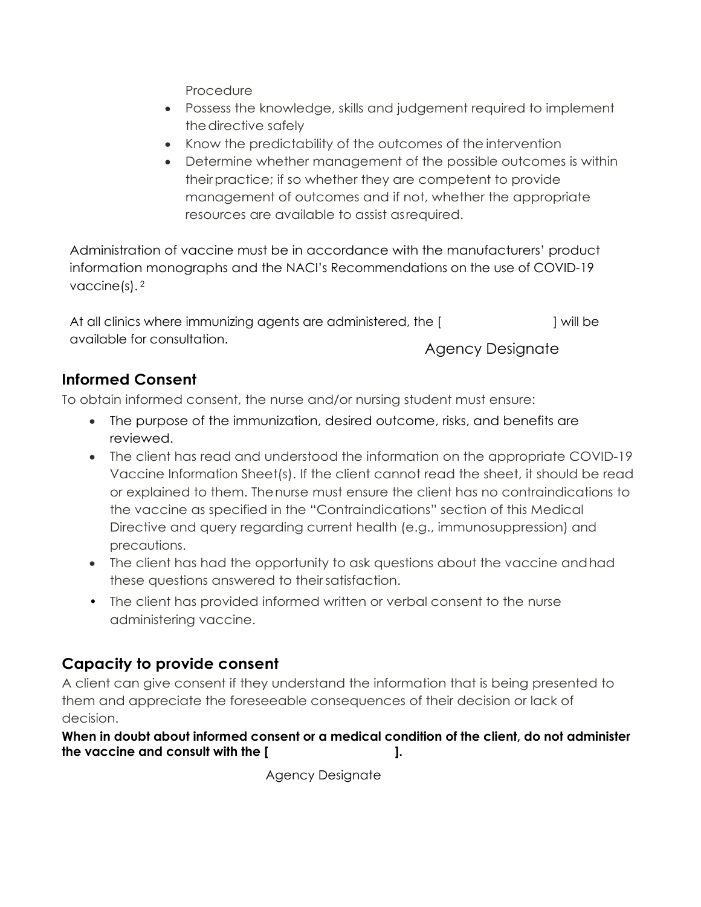Procedure

- Possess the knowledge, skills and judgement required to implement the directive safely
- Know the predictability of the outcomes of the intervention
- Determine whether management of the possible outcomes is within theirpractice; if so whether they are competent to provide management of outcomes and if not, whether the appropriate resources are available to assist asrequired.

Administration of vaccine must be in accordance with the manufacturers' product information monographs and the NACI's Recommendations on the use of COVID-19 vaccine(s). 2

At all clinics where immunizing agents are administered, the [  $\vert$  will be available for consultation. Agency Designate

# **Informed Consent**

To obtain informed consent, the nurse and/or nursing student must ensure:

- The purpose of the immunization, desired outcome, risks, and benefits are reviewed.
- The client has read and understood the information on the appropriate COVID-19 Vaccine Information Sheet(s). If the client cannot read the sheet, it should be read or explained to them. Thenurse must ensure the client has no contraindications to the vaccine as specified in the "Contraindications" section of this Medical Directive and query regarding current health (e.g., immunosuppression) and precautions.
- The client has had the opportunity to ask questions about the vaccine andhad these questions answered to theirsatisfaction.
- The client has provided informed written or verbal consent to the nurse administering vaccine.

# **Capacity to provide consent**

A client can give consent if they understand the information that is being presented to them and appreciate the foreseeable consequences of their decision or lack of decision.

**When in doubt about informed consent or a medical condition of the client, do not administer the vaccine and consult with the [ ].**

Agency Designate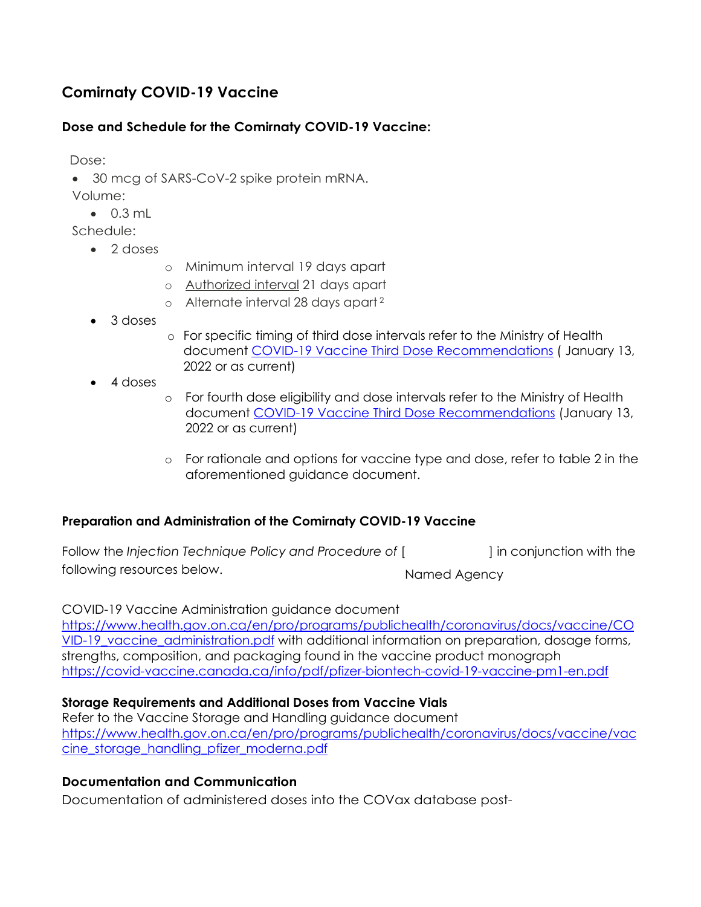### **Comirnaty COVID-19 Vaccine**

#### **Dose and Schedule for the Comirnaty COVID-19 Vaccine:**

Dose:

• 30 mcg of SARS-CoV-2 spike protein mRNA.

Volume:

• 0.3 mL

Schedule:

- 2 doses
- o Minimum interval 19 days apart
- o Authorized interval 21 days apart
- o Alternate interval 28 days apart 2
- 3 doses
- o For specific timing of third dose intervals refer to the Ministry of Health document [COVID-19 Vaccine Third Dose Recommendations](https://www.health.gov.on.ca/en/pro/programs/publichealth/coronavirus/docs/vaccine/COVID-19_vaccine_third_dose_recommendations.pdf) ( January 13, 2022 or as current)
- 4 doses
- o For fourth dose eligibility and dose intervals refer to the Ministry of Health document [COVID-19 Vaccine Third Dose Recommendations](https://www.health.gov.on.ca/en/pro/programs/publichealth/coronavirus/docs/vaccine/COVID-19_vaccine_third_dose_recommendations.pdf) (January 13, 2022 or as current)
- o For rationale and options for vaccine type and dose, refer to table 2 in the aforementioned guidance document.

#### **Preparation and Administration of the Comirnaty COVID-19 Vaccine**

| Follow the Injection Technique Policy and Procedure of [ |              | I in conjunction with the |
|----------------------------------------------------------|--------------|---------------------------|
| following resources below.                               | Named Agency |                           |

#### COVID-19 Vaccine Administration guidance document

[https://www.health.gov.on.ca/en/pro/programs/publichealth/coronavirus/docs/vaccine/CO](https://www.health.gov.on.ca/en/pro/programs/publichealth/coronavirus/docs/vaccine/COVID-19_vaccine_administration.pdf) VID-19 vaccine administration.pdf with additional information on preparation, dosage forms, strengths, composition, and packaging found in the vaccine product monograph <https://covid-vaccine.canada.ca/info/pdf/pfizer-biontech-covid-19-vaccine-pm1-en.pdf>

#### **Storage Requirements and Additional Doses from Vaccine Vials**

Refer to the Vaccine Storage and Handling guidance document [https://www.health.gov.on.ca/en/pro/programs/publichealth/coronavirus/docs/vaccine/vac](https://www.health.gov.on.ca/en/pro/programs/publichealth/coronavirus/docs/vaccine/vaccine_storage_handling_pfizer_moderna.pdf) [cine\\_storage\\_handling\\_pfizer\\_moderna.pdf](https://www.health.gov.on.ca/en/pro/programs/publichealth/coronavirus/docs/vaccine/vaccine_storage_handling_pfizer_moderna.pdf)

#### **Documentation and Communication**

Documentation of administered doses into the COVax database post-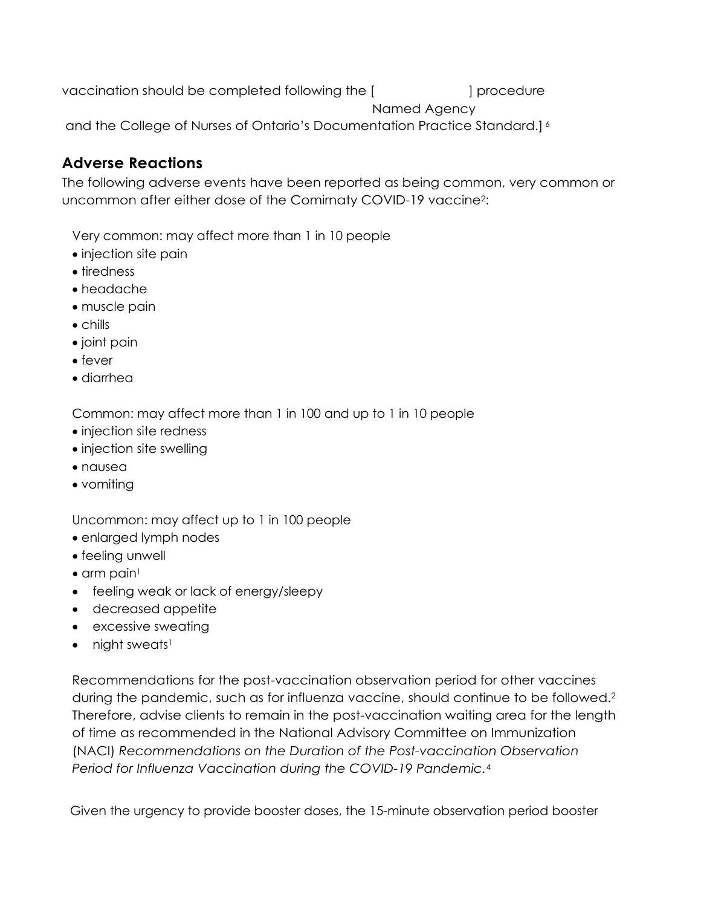vaccination should be completed following the [  $\qquad$  ] procedure and the College of Nurses of Ontario's Documentation Practice Standard.] 6 Named Agency

### **Adverse Reactions**

The following adverse events have been reported as being common, very common or uncommon after either dose of the Comirnaty COVID-19 vaccine2:

Very common: may affect more than 1 in 10 people

- injection site pain
- tiredness
- headache
- muscle pain
- chills
- joint pain
- fever
- diarrhea

Common: may affect more than 1 in 100 and up to 1 in 10 people

- injection site redness
- injection site swelling
- nausea
- vomiting

Uncommon: may affect up to 1 in 100 people

- enlarged lymph nodes
- feeling unwell
- $\bullet$  arm pain<sup>1</sup>
- feeling weak or lack of energy/sleepy
- decreased appetite
- excessive sweating
- $\bullet$  night sweats<sup>1</sup>

Recommendations for the post-vaccination observation period for other vaccines during the pandemic, such as for influenza vaccine, should continue to be followed.2 Therefore, advise clients to remain in the post-vaccination waiting area for the length of time as recommended in the National Advisory Committee on Immunization (NACI) *Recommendations on the Duration of the Post-vaccination Observation Period for Influenza Vaccination during the COVID-19 Pandemic.*<sup>4</sup>

Given the urgency to provide booster doses, the 15-minute observation period booster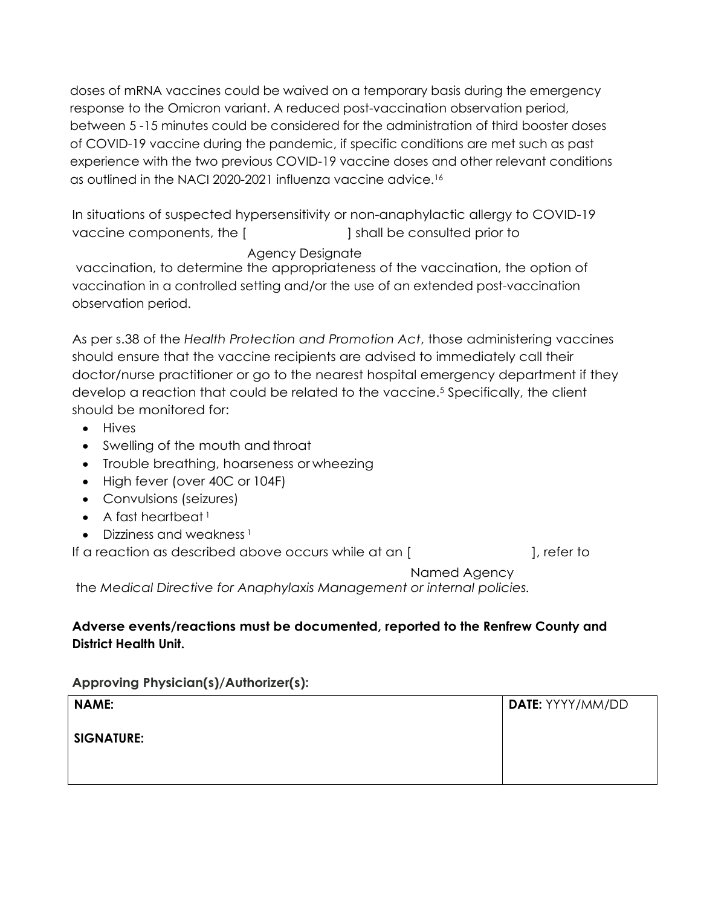doses of mRNA vaccines could be waived on a temporary basis during the emergency response to the Omicron variant. A reduced post-vaccination observation period, between 5 -15 minutes could be considered for the administration of third booster doses of COVID-19 vaccine during the pandemic, if specific conditions are met such as past experience with the two previous COVID-19 vaccine doses and other relevant conditions as outlined in the NACI 2020-2021 influenza vaccine advice.16

In situations of suspected hypersensitivity or non-anaphylactic allergy to COVID-19 vaccine components, the [  $\qquad \qquad$  ] shall be consulted prior to

#### Agency Designate

vaccination, to determine the appropriateness of the vaccination, the option of vaccination in a controlled setting and/or the use of an extended post-vaccination observation period.

As per s.38 of the *Health Protection and Promotion Act*, those administering vaccines should ensure that the vaccine recipients are advised to immediately call their doctor/nurse practitioner or go to the nearest hospital emergency department if they develop a reaction that could be related to the vaccine.5 Specifically, the client should be monitored for:

- Hives
- Swelling of the mouth and throat
- Trouble breathing, hoarseness or wheezing
- High fever (over 40C or 104F)
- Convulsions (seizures)
- A fast heartbeat  $<sup>1</sup>$ </sup>
- Dizziness and weakness<sup>1</sup>

If a reaction as described above occurs while at an [  $\qquad \qquad$  ], refer to

Named Agency

the *Medical Directive for Anaphylaxis Management or internal policies.*

#### **Adverse events/reactions must be documented, reported to the Renfrew County and District Health Unit.**

**Approving Physician(s)/Authorizer(s):**

| <b>NAME:</b>      | DATE: YYYY/MM/DD |
|-------------------|------------------|
| <b>SIGNATURE:</b> |                  |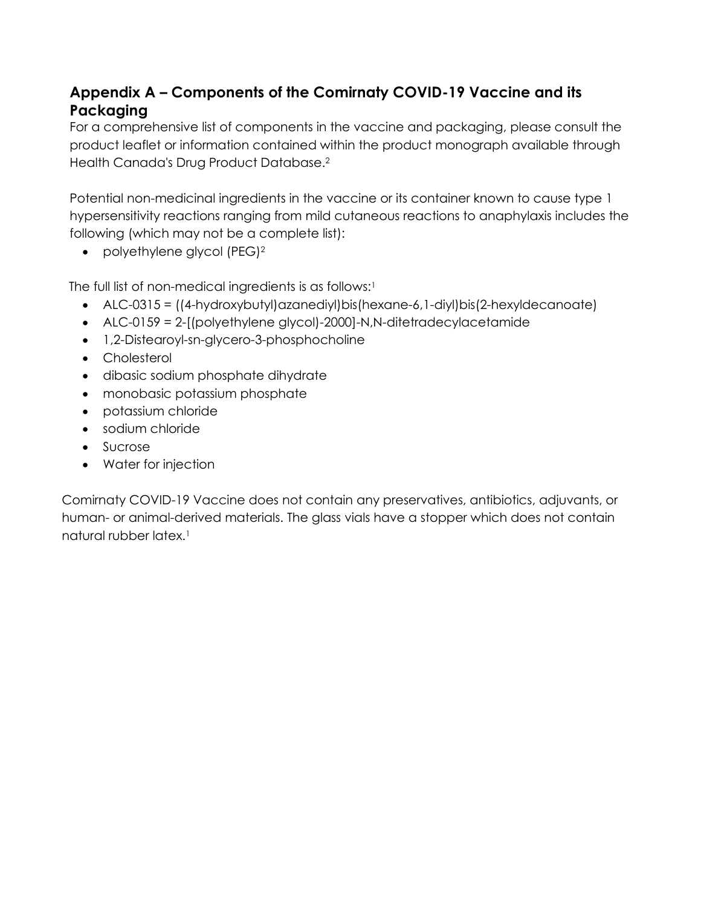# **Appendix A – Components of the Comirnaty COVID-19 Vaccine and its Packaging**

For a comprehensive list of components in the vaccine and packaging, please consult the product leaflet or information contained within the product monograph available through Health Canada's Drug Product Database.2

Potential non-medicinal ingredients in the vaccine or its container known to cause type 1 hypersensitivity reactions ranging from mild cutaneous reactions to anaphylaxis includes the following (which may not be a complete list):

• polyethylene glycol (PEG)<sup>2</sup>

The full list of non-medical ingredients is as follows:<sup>1</sup>

- ALC-0315 = ((4-hydroxybutyl)azanediyl)bis(hexane-6,1-diyl)bis(2-hexyldecanoate)
- ALC-0159 = 2-[(polyethylene glycol)-2000]-N,N-ditetradecylacetamide
- 1,2-Distearoyl-sn-glycero-3-phosphocholine
- Cholesterol
- dibasic sodium phosphate dihydrate
- monobasic potassium phosphate
- potassium chloride
- sodium chloride
- Sucrose
- Water for injection

Comirnaty COVID-19 Vaccine does not contain any preservatives, antibiotics, adjuvants, or human- or animal-derived materials. The glass vials have a stopper which does not contain natural rubber latex.1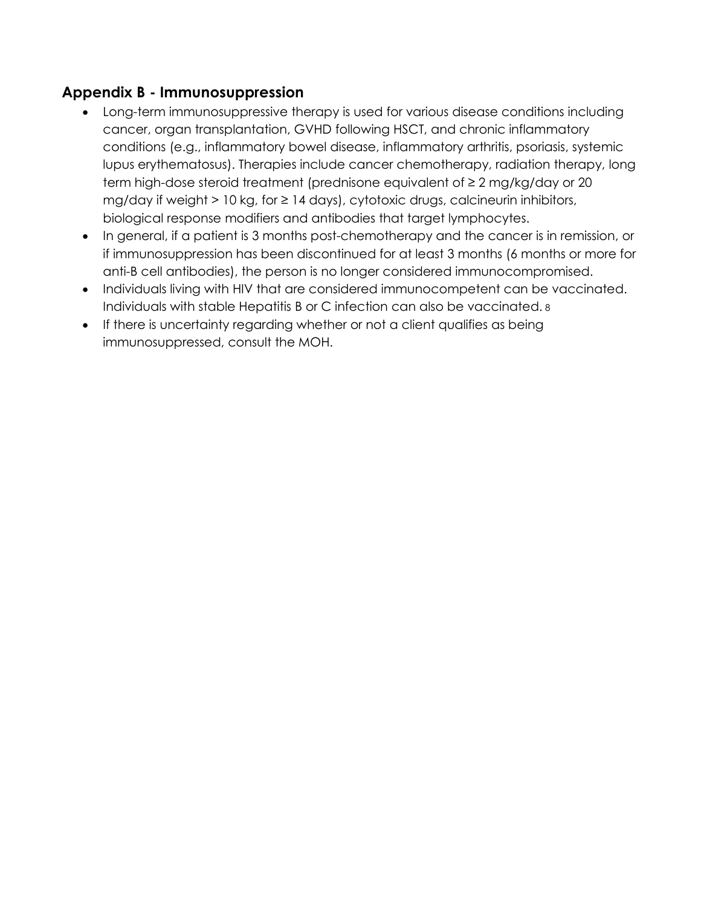### **Appendix B - Immunosuppression**

- Long-term immunosuppressive therapy is used for various disease conditions including cancer, organ transplantation, GVHD following HSCT, and chronic inflammatory conditions (e.g., inflammatory bowel disease, inflammatory arthritis, psoriasis, systemic lupus erythematosus). Therapies include cancer chemotherapy, radiation therapy, long term high-dose steroid treatment (prednisone equivalent of ≥ 2 mg/kg/day or 20 mg/day if weight  $> 10$  kg, for  $\geq 14$  days), cytotoxic drugs, calcineurin inhibitors, biological response modifiers and antibodies that target lymphocytes.
- In general, if a patient is 3 months post-chemotherapy and the cancer is in remission, or if immunosuppression has been discontinued for at least 3 months (6 months or more for anti-B cell antibodies), the person is no longer considered immunocompromised.
- Individuals living with HIV that are considered immunocompetent can be vaccinated. Individuals with stable Hepatitis B or C infection can also be vaccinated. 8
- If there is uncertainty regarding whether or not a client qualifies as being immunosuppressed, consult the MOH.